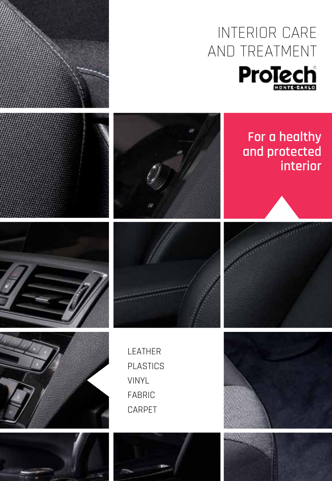



## **For a healthy and protected interior**











**MANA** 



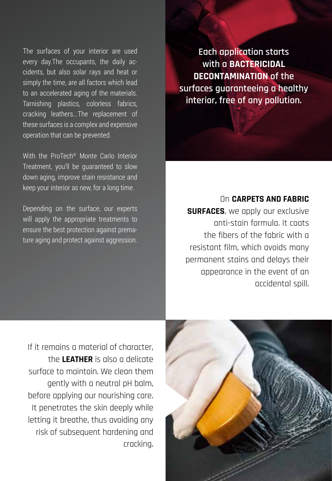The surfaces of your interior are used every day.The occupants, the daily accidents, but also solar rays and heat or simply the time, are all factors which lead to an accelerated aging of the materials. Tarnishing plastics, colorless fabrics, cracking leathers...The replacement of these surfaces is a complex and expensive operation that can be prevented.

With the ProTech® Monte Carlo Interior Treatment, you'll be guaranteed to slow down aging, improve stain resistance and keep your interior as new, for a long time.

Depending on the surface, our experts will apply the appropriate treatments to ensure the best protection against premature aging and protect against aggression.

**Each application starts with a bactericidal decontamination of the surfaces guaranteeing a healthy interior, free of any pollution.**

## On **carpets and fabric**

**SURFACES**, we apply our exclusive anti-stain formula. It coats the fibers of the fabric with a resistant film, which avoids many permanent stains and delays their appearance in the event of an accidental spill.

If it remains a material of character, the **leather** is also a delicate surface to maintain. We clean them gently with a neutral pH balm, before applying our nourishing care. It penetrates the skin deeply while letting it breathe, thus avoiding any risk of subsequent hardening and cracking.

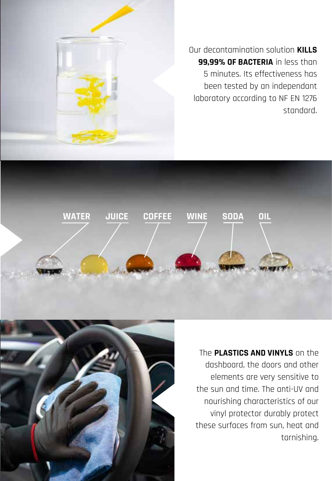

Our decontamination solution **kills 99.99% OF BACTERIA** in less than 5 minutes. Its effectiveness has been tested by an independant laboratory according to NF EN 1276 standard.





The **plastics and vinyls** on the dashboard, the doors and other elements are very sensitive to the sun and time. The anti-UV and nourishing characteristics of our vinyl protector durably protect these surfaces from sun, heat and tarnishing.